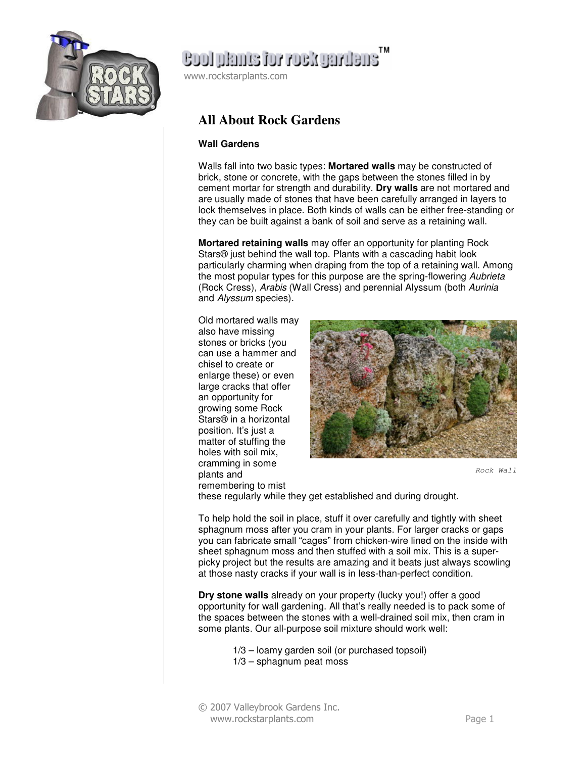

# Cool plants for rock gardens

www.rockstarplants.com

### **All About Rock Gardens**

#### **Wall Gardens**

Walls fall into two basic types: **Mortared walls** may be constructed of brick, stone or concrete, with the gaps between the stones filled in by cement mortar for strength and durability. **Dry walls** are not mortared and are usually made of stones that have been carefully arranged in layers to lock themselves in place. Both kinds of walls can be either free-standing or they can be built against a bank of soil and serve as a retaining wall.

**Mortared retaining walls** may offer an opportunity for planting Rock Stars® just behind the wall top. Plants with a cascading habit look particularly charming when draping from the top of a retaining wall. Among the most popular types for this purpose are the spring-flowering Aubrieta (Rock Cress), Arabis (Wall Cress) and perennial Alyssum (both Aurinia and Alyssum species).

Old mortared walls may also have missing stones or bricks (you can use a hammer and chisel to create or enlarge these) or even large cracks that offer an opportunity for growing some Rock Stars® in a horizontal position. It's just a matter of stuffing the holes with soil mix, cramming in some plants and remembering to mist



Rock Wall

these regularly while they get established and during drought.

To help hold the soil in place, stuff it over carefully and tightly with sheet sphagnum moss after you cram in your plants. For larger cracks or gaps you can fabricate small "cages" from chicken-wire lined on the inside with sheet sphagnum moss and then stuffed with a soil mix. This is a superpicky project but the results are amazing and it beats just always scowling at those nasty cracks if your wall is in less-than-perfect condition.

**Dry stone walls** already on your property (lucky you!) offer a good opportunity for wall gardening. All that's really needed is to pack some of the spaces between the stones with a well-drained soil mix, then cram in some plants. Our all-purpose soil mixture should work well:

- 1/3 loamy garden soil (or purchased topsoil)
- 1/3 sphagnum peat moss
- © 2007 Valleybrook Gardens Inc. www.rockstarplants.com Page 1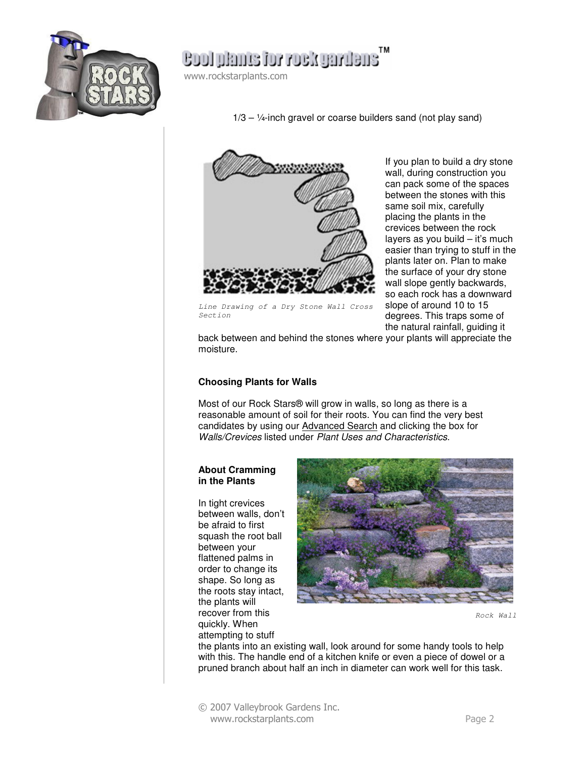

## ensilvägov voi email loos

www.rockstarplants.com

 $1/3 - 1/4$ -inch gravel or coarse builders sand (not play sand)



If you plan to build a dry stone wall, during construction you can pack some of the spaces between the stones with this same soil mix, carefully placing the plants in the crevices between the rock layers as you build – it's much easier than trying to stuff in the plants later on. Plan to make the surface of your dry stone wall slope gently backwards, so each rock has a downward slope of around 10 to 15 degrees. This traps some of the natural rainfall, guiding it

Line Drawing of a Dry Stone Wall Cross Section

back between and behind the stones where your plants will appreciate the moisture.

#### **Choosing Plants for Walls**

Most of our Rock Stars® will grow in walls, so long as there is a reasonable amount of soil for their roots. You can find the very best candidates by using our Advanced Search and clicking the box for Walls/Crevices listed under Plant Uses and Characteristics.

#### **About Cramming in the Plants**

In tight crevices between walls, don't be afraid to first squash the root ball between your flattened palms in order to change its shape. So long as the roots stay intact, the plants will recover from this quickly. When attempting to stuff



Rock Wall

the plants into an existing wall, look around for some handy tools to help with this. The handle end of a kitchen knife or even a piece of dowel or a pruned branch about half an inch in diameter can work well for this task.

© 2007 Valleybrook Gardens Inc. www.rockstarplants.com Page 2